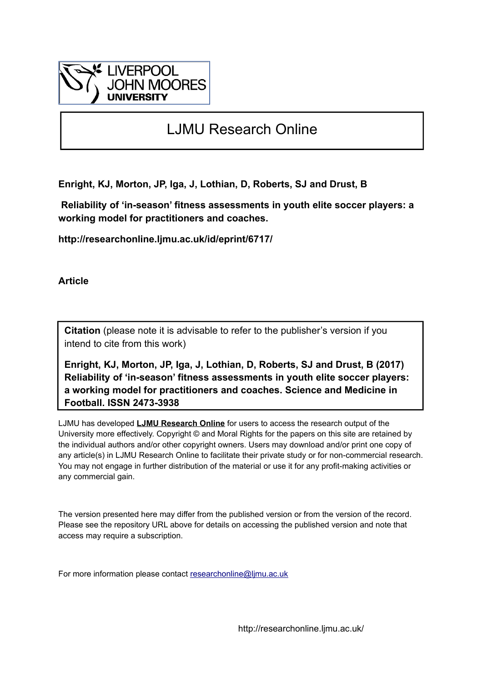

# LJMU Research Online

**Enright, KJ, Morton, JP, Iga, J, Lothian, D, Roberts, SJ and Drust, B**

 **Reliability of 'in-season' fitness assessments in youth elite soccer players: a working model for practitioners and coaches.**

**http://researchonline.ljmu.ac.uk/id/eprint/6717/**

**Article**

**Citation** (please note it is advisable to refer to the publisher's version if you intend to cite from this work)

**Enright, KJ, Morton, JP, Iga, J, Lothian, D, Roberts, SJ and Drust, B (2017) Reliability of 'in-season' fitness assessments in youth elite soccer players: a working model for practitioners and coaches. Science and Medicine in Football. ISSN 2473-3938** 

LJMU has developed **[LJMU Research Online](http://researchonline.ljmu.ac.uk/)** for users to access the research output of the University more effectively. Copyright © and Moral Rights for the papers on this site are retained by the individual authors and/or other copyright owners. Users may download and/or print one copy of any article(s) in LJMU Research Online to facilitate their private study or for non-commercial research. You may not engage in further distribution of the material or use it for any profit-making activities or any commercial gain.

The version presented here may differ from the published version or from the version of the record. Please see the repository URL above for details on accessing the published version and note that access may require a subscription.

For more information please contact [researchonline@ljmu.ac.uk](mailto:researchonline@ljmu.ac.uk)

http://researchonline.ljmu.ac.uk/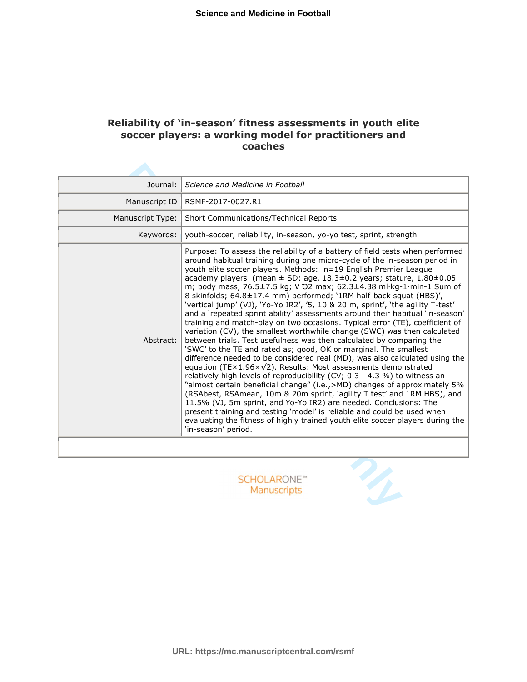# **Reliability of 'in-season' fitness assessments in youth elite soccer players: a working model for practitioners and coaches**

| Journal:         | Science and Medicine in Football                                                                                                                                                                                                                                                                                                                                                                                                                                                                                                                                                                                                                                                                                                                                                                                                                                                                                                                                                                                                                                                                                                                                                                                                                                                                                                                                                                                                                                                                                                                                                                                          |  |  |
|------------------|---------------------------------------------------------------------------------------------------------------------------------------------------------------------------------------------------------------------------------------------------------------------------------------------------------------------------------------------------------------------------------------------------------------------------------------------------------------------------------------------------------------------------------------------------------------------------------------------------------------------------------------------------------------------------------------------------------------------------------------------------------------------------------------------------------------------------------------------------------------------------------------------------------------------------------------------------------------------------------------------------------------------------------------------------------------------------------------------------------------------------------------------------------------------------------------------------------------------------------------------------------------------------------------------------------------------------------------------------------------------------------------------------------------------------------------------------------------------------------------------------------------------------------------------------------------------------------------------------------------------------|--|--|
| Manuscript ID    | RSMF-2017-0027.R1                                                                                                                                                                                                                                                                                                                                                                                                                                                                                                                                                                                                                                                                                                                                                                                                                                                                                                                                                                                                                                                                                                                                                                                                                                                                                                                                                                                                                                                                                                                                                                                                         |  |  |
| Manuscript Type: | Short Communications/Technical Reports                                                                                                                                                                                                                                                                                                                                                                                                                                                                                                                                                                                                                                                                                                                                                                                                                                                                                                                                                                                                                                                                                                                                                                                                                                                                                                                                                                                                                                                                                                                                                                                    |  |  |
| Keywords:        | youth-soccer, reliability, in-season, yo-yo test, sprint, strength                                                                                                                                                                                                                                                                                                                                                                                                                                                                                                                                                                                                                                                                                                                                                                                                                                                                                                                                                                                                                                                                                                                                                                                                                                                                                                                                                                                                                                                                                                                                                        |  |  |
| Abstract:        | Purpose: To assess the reliability of a battery of field tests when performed<br>around habitual training during one micro-cycle of the in-season period in<br>youth elite soccer players. Methods: n=19 English Premier League<br>academy players (mean $\pm$ SD: age, 18.3 $\pm$ 0.2 years; stature, 1.80 $\pm$ 0.05<br>m; body mass, 76.5±7.5 kg; V O2 max; 62.3±4.38 ml·kg-1·min-1 Sum of<br>8 skinfolds; 64.8±17.4 mm) performed; '1RM half-back squat (HBS)',<br>'vertical jump' (VJ), 'Yo-Yo IR2', '5, 10 & 20 m, sprint', 'the agility T-test'<br>and a 'repeated sprint ability' assessments around their habitual 'in-season'<br>training and match-play on two occasions. Typical error (TE), coefficient of<br>variation (CV), the smallest worthwhile change (SWC) was then calculated<br>between trials. Test usefulness was then calculated by comparing the<br>'SWC' to the TE and rated as; good, OK or marginal. The smallest<br>difference needed to be considered real (MD), was also calculated using the<br>equation (TE $\times$ 1.96 $\times$ $\sqrt{2}$ ). Results: Most assessments demonstrated<br>relatively high levels of reproducibility (CV; 0.3 - 4.3 %) to witness an<br>"almost certain beneficial change" (i.e., >MD) changes of approximately 5%<br>(RSAbest, RSAmean, 10m & 20m sprint, 'agility T test' and 1RM HBS), and<br>11.5% (VJ, 5m sprint, and Yo-Yo IR2) are needed. Conclusions: The<br>present training and testing 'model' is reliable and could be used when<br>evaluating the fitness of highly trained youth elite soccer players during the<br>'in-season' period. |  |  |
|                  |                                                                                                                                                                                                                                                                                                                                                                                                                                                                                                                                                                                                                                                                                                                                                                                                                                                                                                                                                                                                                                                                                                                                                                                                                                                                                                                                                                                                                                                                                                                                                                                                                           |  |  |
|                  | <b>SCHOLARONE™</b><br>Manuscripts                                                                                                                                                                                                                                                                                                                                                                                                                                                                                                                                                                                                                                                                                                                                                                                                                                                                                                                                                                                                                                                                                                                                                                                                                                                                                                                                                                                                                                                                                                                                                                                         |  |  |

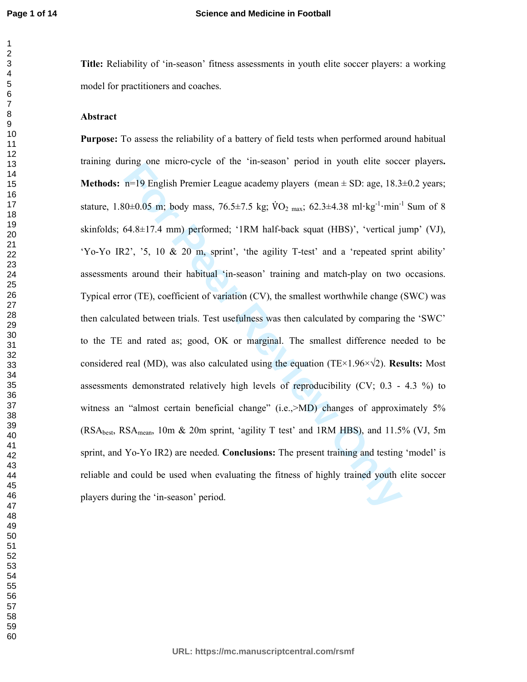**Title:** Reliability of 'in-season' fitness assessments in youth elite soccer players: a working model for practitioners and coaches.

#### **Abstract**

For Prodigion Premier League academy players (mean  $\pm$  SD: age, 18.3<br> **For Prodigion** Premier League academy players (mean  $\pm$  SD: age, 18.3<br> **For Prodigion** Premier League academy players (mean  $\pm$  SD: age, 18.3<br> **For Purpose:** To assess the reliability of a battery of field tests when performed around habitual training during one micro-cycle of the 'in-season' period in youth elite soccer players**. Methods:** n=19 English Premier League academy players (mean  $\pm$  SD: age, 18.3 $\pm$ 0.2 years; stature, 1.80 $\pm$ 0.05 m; body mass, 76.5 $\pm$ 7.5 kg; VO<sub>2 max</sub>; 62.3 $\pm$ 4.38 ml·kg<sup>-1</sup>·min<sup>-1</sup> Sum of 8 skinfolds; 64.8±17.4 mm) performed; '1RM half-back squat (HBS)', 'vertical jump' (VJ), 'Yo-Yo IR2', '5, 10 & 20 m, sprint', 'the agility T-test' and a 'repeated sprint ability' assessments around their habitual 'in-season' training and match-play on two occasions. Typical error (TE), coefficient of variation (CV), the smallest worthwhile change (SWC) was then calculated between trials. Test usefulness was then calculated by comparing the 'SWC' to the TE and rated as; good, OK or marginal. The smallest difference needed to be considered real (MD), was also calculated using the equation (TE×1.96×√2). **Results:** Most assessments demonstrated relatively high levels of reproducibility (CV; 0.3 - 4.3 %) to witness an "almost certain beneficial change" (i.e., $>MD$ ) changes of approximately 5%  $(RSA<sub>best</sub>, RSA<sub>mean</sub>, 10m & 20m$  sprint, 'agility T test' and 1RM HBS), and 11.5% (VJ, 5m) sprint, and Yo-Yo IR2) are needed. **Conclusions:** The present training and testing 'model' is reliable and could be used when evaluating the fitness of highly trained youth elite soccer players during the 'in-season' period.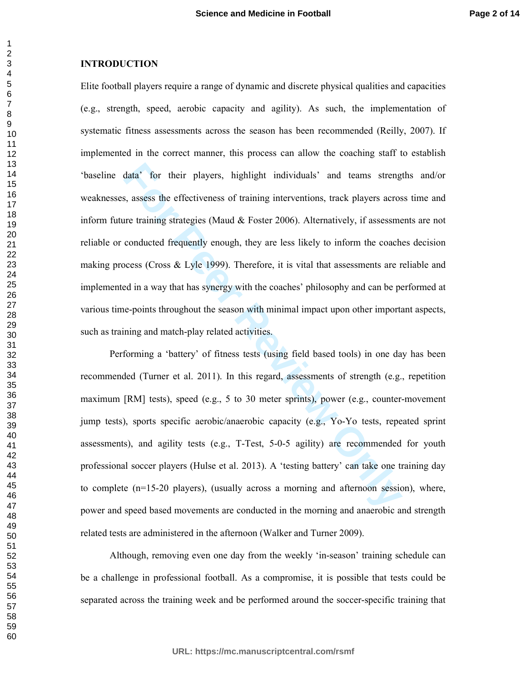#### **INTRODUCTION**

data<sup>3</sup> for their players, highlight individuals<sup>3</sup> and teams streng<br>s, assess the effectiveness of training interventions, track players acros<br>are training strategies (Maud & Foster 2006). Alternatively, if assessme<br>condu Elite football players require a range of dynamic and discrete physical qualities and capacities (e.g., strength, speed, aerobic capacity and agility). As such, the implementation of systematic fitness assessments across the season has been recommended (Reilly, 2007). If implemented in the correct manner, this process can allow the coaching staff to establish 'baseline data' for their players, highlight individuals' and teams strengths and/or weaknesses, assess the effectiveness of training interventions, track players across time and inform future training strategies (Maud  $\&$  Foster 2006). Alternatively, if assessments are not reliable or conducted frequently enough, they are less likely to inform the coaches decision making process (Cross & Lyle 1999). Therefore, it is vital that assessments are reliable and implemented in a way that has synergy with the coaches' philosophy and can be performed at various time-points throughout the season with minimal impact upon other important aspects, such as training and match-play related activities.

Performing a 'battery' of fitness tests (using field based tools) in one day has been recommended (Turner et al. 2011). In this regard, assessments of strength (e.g., repetition maximum [RM] tests), speed (e.g., 5 to 30 meter sprints), power (e.g., counter-movement jump tests), sports specific aerobic/anaerobic capacity (e.g., Yo-Yo tests, repeated sprint assessments), and agility tests (e.g., T-Test, 5-0-5 agility) are recommended for youth professional soccer players (Hulse et al. 2013). A 'testing battery' can take one training day to complete (n=15-20 players), (usually across a morning and afternoon session), where, power and speed based movements are conducted in the morning and anaerobic and strength related tests are administered in the afternoon (Walker and Turner 2009).

Although, removing even one day from the weekly 'in-season' training schedule can be a challenge in professional football. As a compromise, it is possible that tests could be separated across the training week and be performed around the soccer-specific training that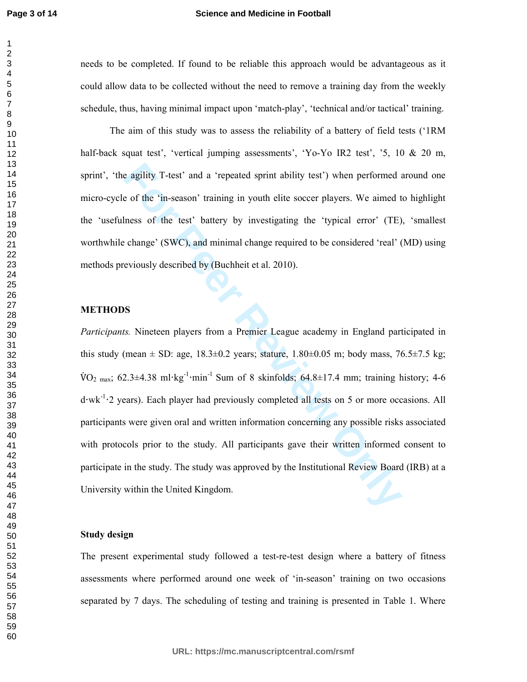#### **Science and Medicine in Football**

needs to be completed. If found to be reliable this approach would be advantageous as it could allow data to be collected without the need to remove a training day from the weekly schedule, thus, having minimal impact upon 'match-play', 'technical and/or tactical' training.

The aim of this study was to assess the reliability of a battery of field tests ('1RM half-back squat test', 'vertical jumping assessments', 'Yo-Yo IR2 test', '5, 10 & 20 m, sprint', 'the agility T-test' and a 'repeated sprint ability test') when performed around one micro-cycle of the 'in-season' training in youth elite soccer players. We aimed to highlight the 'usefulness of the test' battery by investigating the 'typical error' (TE), 'smallest worthwhile change' (SWC), and minimal change required to be considered 'real' (MD) using methods previously described by (Buchheit et al. 2010).

## **METHODS**

e agility T-test' and a 'repeated sprint ability test') when performed a<br>of the 'in-season' training in youth elite soccer players. We aimed t<br>hess of the test' battery by investigating the 'typical error' (TE)<br>change' (SW *Participants.* Nineteen players from a Premier League academy in England participated in this study (mean  $\pm$  SD: age, 18.3 $\pm$ 0.2 years; stature, 1.80 $\pm$ 0.05 m; body mass, 76.5 $\pm$ 7.5 kg; V-O2 max; 62.3±4.38 ml**·**kg-1 **·**min-1 Sum of 8 skinfolds; 64.8±17.4 mm; training history; 4-6 d**·**wk-1 **·**2 years). Each player had previously completed all tests on 5 or more occasions. All participants were given oral and written information concerning any possible risks associated with protocols prior to the study. All participants gave their written informed consent to participate in the study. The study was approved by the Institutional Review Board (IRB) at a University within the United Kingdom.

## **Study design**

The present experimental study followed a test-re-test design where a battery of fitness assessments where performed around one week of 'in-season' training on two occasions separated by 7 days. The scheduling of testing and training is presented in Table 1. Where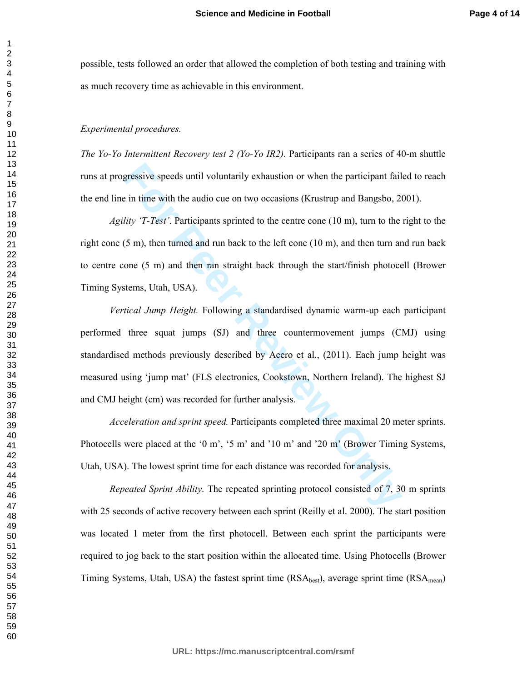possible, tests followed an order that allowed the completion of both testing and training with as much recovery time as achievable in this environment.

#### *Experimental procedures.*

*The Yo-Yo Intermittent Recovery test 2 (Yo-Yo IR2).* Participants ran a series of 40-m shuttle runs at progressive speeds until voluntarily exhaustion or when the participant failed to reach the end line in time with the audio cue on two occasions (Krustrup and Bangsbo, 2001).

*Agility 'T-Test'*. Participants sprinted to the centre cone (10 m), turn to the right to the right cone  $(5 \text{ m})$ , then turned and run back to the left cone  $(10 \text{ m})$ , and then turn and run back to centre cone (5 m) and then ran straight back through the start/finish photocell (Brower Timing Systems, Utah, USA).

gressive speeds until voluntarily exhaustion or when the participant fail<br>in time with the audio cue on two occasions (Krustrup and Bangsbo, 2t<br>*lity 'T-Test'*. Participants sprinted to the eentre cone (10 m), turn to the<br> *Vertical Jump Height.* Following a standardised dynamic warm-up each participant performed three squat jumps (SJ) and three countermovement jumps (CMJ) using standardised methods previously described by Acero et al., (2011). Each jump height was measured using 'jump mat' (FLS electronics, Cookstown, Northern Ireland). The highest SJ and CMJ height (cm) was recorded for further analysis.

*Acceleration and sprint speed.* Participants completed three maximal 20 meter sprints. Photocells were placed at the '0 m', '5 m' and '10 m' and '20 m' (Brower Timing Systems, Utah, USA). The lowest sprint time for each distance was recorded for analysis.

*Repeated Sprint Ability*. The repeated sprinting protocol consisted of 7, 30 m sprints with 25 seconds of active recovery between each sprint (Reilly et al. 2000). The start position was located 1 meter from the first photocell. Between each sprint the participants were required to jog back to the start position within the allocated time. Using Photocells (Brower Timing Systems, Utah, USA) the fastest sprint time  $(RSA_{best})$ , average sprint time  $(RSA_{mean})$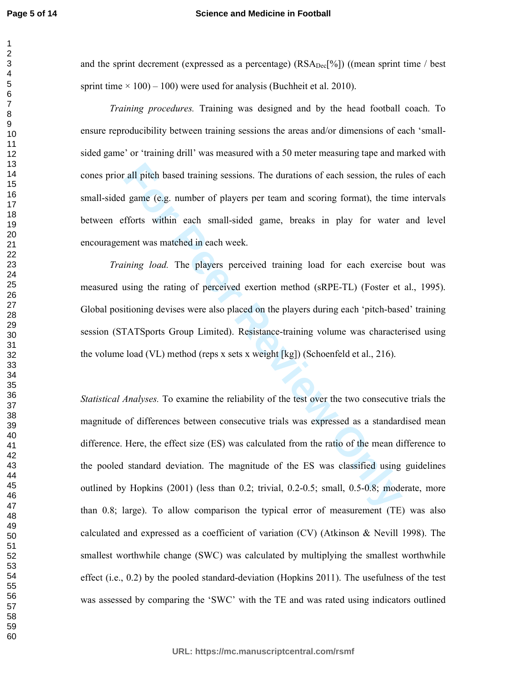#### **Science and Medicine in Football**

and the sprint decrement (expressed as a percentage)  $(RSA_{Dec}[^{\%}])$  ((mean sprint time / best sprint time  $\times$  100) – 100) were used for analysis (Buchheit et al. 2010).

*Training procedures.* Training was designed and by the head football coach. To ensure reproducibility between training sessions the areas and/or dimensions of each 'smallsided game' or 'training drill' was measured with a 50 meter measuring tape and marked with cones prior all pitch based training sessions. The durations of each session, the rules of each small-sided game (e.g. number of players per team and scoring format), the time intervals between efforts within each small-sided game, breaks in play for water and level encouragement was matched in each week.

*Training load.* The players perceived training load for each exercise bout was measured using the rating of perceived exertion method (sRPE-TL) (Foster et al., 1995). Global positioning devises were also placed on the players during each 'pitch-based' training session (STATSports Group Limited). Resistance-training volume was characterised using the volume load (VL) method (reps x sets x weight [kg]) (Schoenfeld et al., 216).

rall pitch based training sessions. The durations of each session, the ru<br>
I game (e.g. number of players per team and scoring format), the tin<br>
fforts within each small-sided game, breaks in play for water<br>
nent was match *Statistical Analyses.* To examine the reliability of the test over the two consecutive trials the magnitude of differences between consecutive trials was expressed as a standardised mean difference. Here, the effect size (ES) was calculated from the ratio of the mean difference to the pooled standard deviation. The magnitude of the ES was classified using guidelines outlined by Hopkins (2001) (less than 0.2; trivial, 0.2-0.5; small, 0.5-0.8; moderate, more than 0.8; large). To allow comparison the typical error of measurement (TE) was also calculated and expressed as a coefficient of variation (CV) (Atkinson & Nevill 1998). The smallest worthwhile change (SWC) was calculated by multiplying the smallest worthwhile effect (i.e., 0.2) by the pooled standard-deviation (Hopkins 2011). The usefulness of the test was assessed by comparing the 'SWC' with the TE and was rated using indicators outlined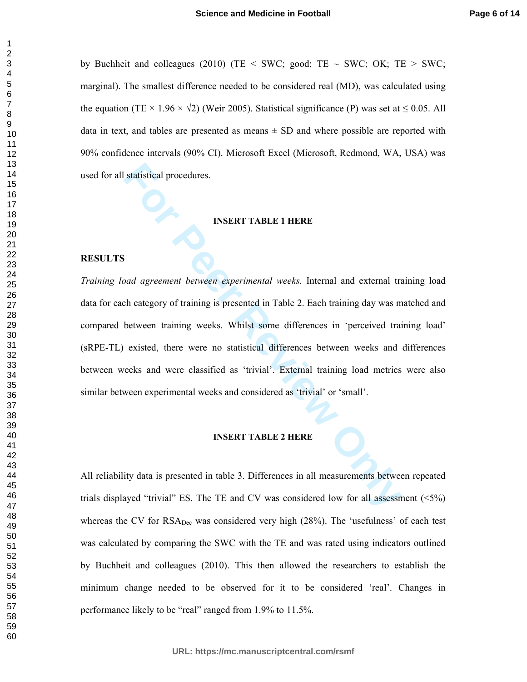by Buchheit and colleagues (2010) (TE < SWC; good; TE  $\sim$  SWC; OK; TE  $>$  SWC; marginal). The smallest difference needed to be considered real (MD), was calculated using the equation (TE × 1.96 ×  $\sqrt{2}$ ) (Weir 2005). Statistical significance (P) was set at  $\leq 0.05$ . All data in text, and tables are presented as means  $\pm$  SD and where possible are reported with 90% confidence intervals (90% CI). Microsoft Excel (Microsoft, Redmond, WA, USA) was used for all statistical procedures.

#### **INSERT TABLE 1 HERE**

## **RESULTS**

**FIGURE 18 INSERT TABLE 1 HERE**<br> **FIGURE 19 INSERT TABLE 1 HERE**<br> **FIGURE 19 INSERT TABLE 1 HERE**<br> **FIGURE 19 INSERT TABLE 1** HERE<br> **FIGURE 1** Theorem training weeks. Whilst some differences in 'perceived train<br>
existed, t *Training load agreement between experimental weeks.* Internal and external training load data for each category of training is presented in Table 2. Each training day was matched and compared between training weeks. Whilst some differences in 'perceived training load' (sRPE-TL) existed, there were no statistical differences between weeks and differences between weeks and were classified as 'trivial'. External training load metrics were also similar between experimental weeks and considered as 'trivial' or 'small'.

#### **INSERT TABLE 2 HERE**

All reliability data is presented in table 3. Differences in all measurements between repeated trials displayed "trivial" ES. The TE and CV was considered low for all assessment  $(\leq 5\%)$ whereas the CV for RSA<sub>Dec</sub> was considered very high (28%). The 'usefulness' of each test was calculated by comparing the SWC with the TE and was rated using indicators outlined by Buchheit and colleagues (2010). This then allowed the researchers to establish the minimum change needed to be observed for it to be considered 'real'. Changes in performance likely to be "real" ranged from 1.9% to 11.5%.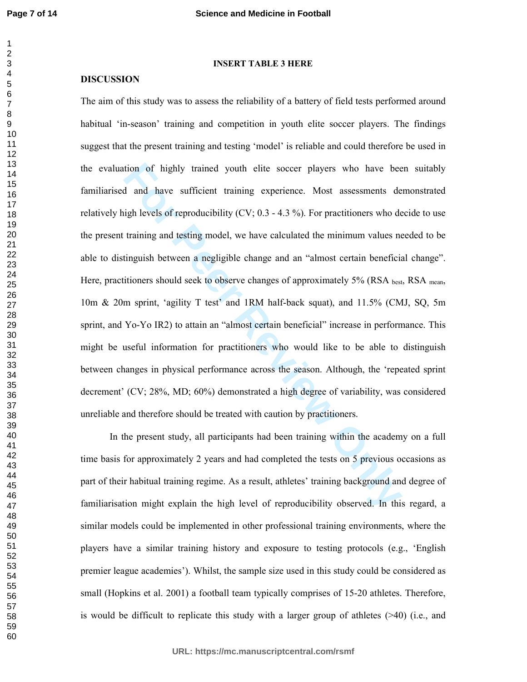#### **INSERT TABLE 3 HERE**

#### **DISCUSSION**

tion of highly trained youth elite soccer players who have beed<br>and have sufficient training experience. Most assessments de<br>igh levels of reproducibility (CV; 0.3 - 4.3 %). For practitioners who de<br>training and testing mo The aim of this study was to assess the reliability of a battery of field tests performed around habitual 'in-season' training and competition in youth elite soccer players. The findings suggest that the present training and testing 'model' is reliable and could therefore be used in the evaluation of highly trained youth elite soccer players who have been suitably familiarised and have sufficient training experience. Most assessments demonstrated relatively high levels of reproducibility (CV; 0.3 - 4.3 %). For practitioners who decide to use the present training and testing model, we have calculated the minimum values needed to be able to distinguish between a negligible change and an "almost certain beneficial change". Here, practitioners should seek to observe changes of approximately  $5\%$  (RSA best, RSA mean, 10m & 20m sprint, 'agility T test' and 1RM half-back squat), and 11.5% (CMJ, SQ, 5m sprint, and Yo-Yo IR2) to attain an "almost certain beneficial" increase in performance. This might be useful information for practitioners who would like to be able to distinguish between changes in physical performance across the season. Although, the 'repeated sprint decrement' (CV; 28%, MD; 60%) demonstrated a high degree of variability, was considered unreliable and therefore should be treated with caution by practitioners.

In the present study, all participants had been training within the academy on a full time basis for approximately 2 years and had completed the tests on 5 previous occasions as part of their habitual training regime. As a result, athletes' training background and degree of familiarisation might explain the high level of reproducibility observed. In this regard, a similar models could be implemented in other professional training environments, where the players have a similar training history and exposure to testing protocols (e.g., 'English premier league academies'). Whilst, the sample size used in this study could be considered as small (Hopkins et al. 2001) a football team typically comprises of 15-20 athletes. Therefore, is would be difficult to replicate this study with a larger group of athletes (>40) (i.e., and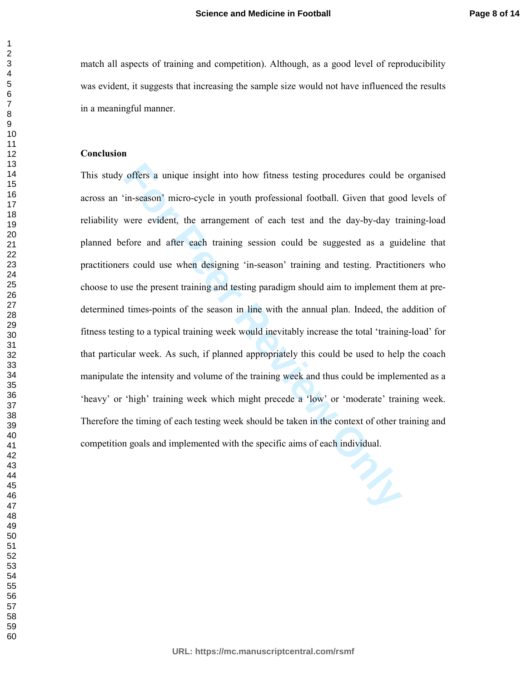match all aspects of training and competition). Although, as a good level of reproducibility was evident, it suggests that increasing the sample size would not have influenced the results in a meaningful manner.

## **Conclusion**

offers a unique insight into how fitness testing procedures could be in-season' micro-cycle in youth professional football. Given that goo were evident, the arrangement of each test and the day-by-day trafore and after eac This study offers a unique insight into how fitness testing procedures could be organised across an 'in-season' micro-cycle in youth professional football. Given that good levels of reliability were evident, the arrangement of each test and the day-by-day training-load planned before and after each training session could be suggested as a guideline that practitioners could use when designing 'in-season' training and testing. Practitioners who choose to use the present training and testing paradigm should aim to implement them at predetermined times-points of the season in line with the annual plan. Indeed, the addition of fitness testing to a typical training week would inevitably increase the total 'training-load' for that particular week. As such, if planned appropriately this could be used to help the coach manipulate the intensity and volume of the training week and thus could be implemented as a 'heavy' or 'high' training week which might precede a 'low' or 'moderate' training week. Therefore the timing of each testing week should be taken in the context of other training and competition goals and implemented with the specific aims of each individual.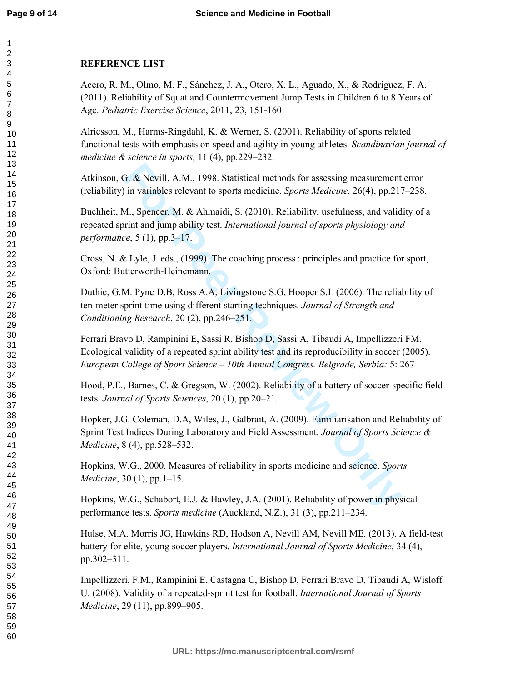## **REFERENCE LIST**

Acero, R. M., Olmo, M. F., Sánchez, J. A., Otero, X. L., Aguado, X., & Rodríguez, F. A. (2011). Reliability of Squat and Countermovement Jump Tests in Children 6 to 8 Years of Age. *Pediatric Exercise Science*, 2011, 23, 151-160

Alricsson, M., Harms-Ringdahl, K. & Werner, S. (2001). Reliability of sports related functional tests with emphasis on speed and agility in young athletes. *Scandinavian journal of medicine & science in sports*, 11 (4), pp.229–232.

Atkinson, G. & Nevill, A.M., 1998. Statistical methods for assessing measurement error (reliability) in variables relevant to sports medicine. *Sports Medicine*, 26(4), pp.217–238.

Buchheit, M., Spencer, M. & Ahmaidi, S. (2010). Reliability, usefulness, and validity of a repeated sprint and jump ability test. *International journal of sports physiology and performance*, 5 (1), pp.3–17.

Cross, N. & Lyle, J. eds., (1999). The coaching process : principles and practice for sport, Oxford: Butterworth-Heinemann.

Duthie, G.M. Pyne D.B, Ross A.A, Livingstone S.G, Hooper S.L (2006). The reliability of ten-meter sprint time using different starting techniques. *Journal of Strength and Conditioning Research*, 20 (2), pp.246–251.

Ferrari Bravo D, Rampinini E, Sassi R, Bishop D, Sassi A, Tibaudi A, Impellizzeri FM. Ecological validity of a repeated sprint ability test and its reproducibility in soccer (2005). *European College of Sport Science – 10th Annual Congress. Belgrade, Serbia:* 5: 267

Hood, P.E., Barnes, C. & Gregson, W. (2002). Reliability of a battery of soccer-specific field tests. *Journal of Sports Sciences*, 20 (1), pp.20–21.

**For All ACT 1998.** Statistical methods for assessing measurement<br>in variables relevant to sports medicine. *Sports Medicine*, 26(4), pp.217<br>*M.*, Spencer, M. & Ahmaidi, S. (2010). Reliability, usefulness, and valid<br>pirit Hopker, J.G. Coleman, D.A, Wiles, J., Galbrait, A. (2009). Familiarisation and Reliability of Sprint Test Indices During Laboratory and Field Assessment*. Journal of Sports Science & Medicine*, 8 (4), pp.528–532.

Hopkins, W.G., 2000. Measures of reliability in sports medicine and science. *Sports Medicine*, 30 (1), pp.1–15.

Hopkins, W.G., Schabort, E.J. & Hawley, J.A. (2001). Reliability of power in physical performance tests. *Sports medicine* (Auckland, N.Z.), 31 (3), pp.211–234.

Hulse, M.A. Morris JG, Hawkins RD, Hodson A, Nevill AM, Nevill ME. (2013). A field-test battery for elite, young soccer players. *International Journal of Sports Medicine*, 34 (4), pp.302–311.

Impellizzeri, F.M., Rampinini E, Castagna C, Bishop D, Ferrari Bravo D, Tibaudi A, Wisloff U. (2008). Validity of a repeated-sprint test for football. *International Journal of Sports Medicine*, 29 (11), pp.899–905.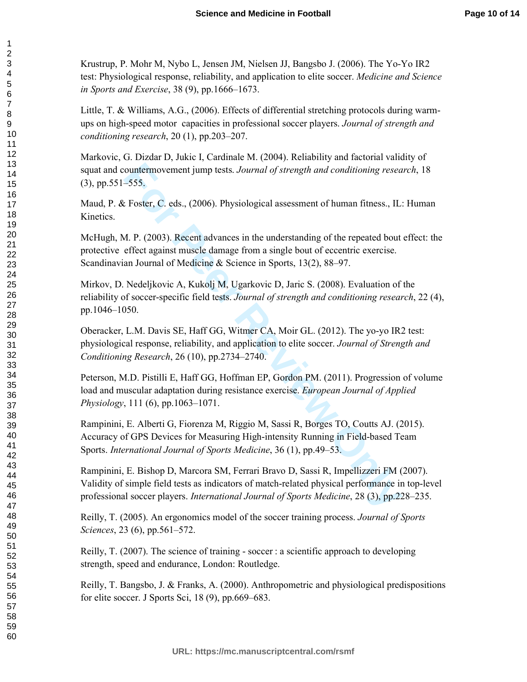Krustrup, P. Mohr M, Nybo L, Jensen JM, Nielsen JJ, Bangsbo J. (2006). The Yo-Yo IR2 test: Physiological response, reliability, and application to elite soccer. *Medicine and Science in Sports and Exercise*, 38 (9), pp.1666–1673.

Little, T. & Williams, A.G., (2006). Effects of differential stretching protocols during warmups on high-speed motor capacities in professional soccer players. *Journal of strength and conditioning research*, 20 (1), pp.203–207.

Markovic, G. Dizdar D, Jukic I, Cardinale M. (2004). Reliability and factorial validity of squat and countermovement jump tests. *Journal of strength and conditioning research*, 18 (3), pp.551–555.

Maud, P. & Foster, C. eds., (2006). Physiological assessment of human fitness., IL: Human Kinetics.

McHugh, M. P. (2003). Recent advances in the understanding of the repeated bout effect: the protective effect against muscle damage from a single bout of eccentric exercise. Scandinavian Journal of Medicine & Science in Sports, 13(2), 88–97.

Mirkov, D. Nedeljkovic A, Kukolj M, Ugarkovic D, Jaric S. (2008). Evaluation of the reliability of soccer-specific field tests. *Journal of strength and conditioning research*, 22 (4), pp.1046–1050.

Oberacker, L.M. Davis SE, Haff GG, Witmer CA, Moir GL. (2012). The yo-yo IR2 test: physiological response, reliability, and application to elite soccer. *Journal of Strength and Conditioning Research*, 26 (10), pp.2734–2740.

Peterson, M.D. Pistilli E, Haff GG, Hoffman EP, Gordon PM. (2011). Progression of volume load and muscular adaptation during resistance exercise. *European Journal of Applied Physiology*, 111 (6), pp.1063–1071.

ountermovement jump tests. *Journal of strength and conditioning resea*<br> **Foster, C. eds.**, (2006). Physiological assessment of human fitness., IL<br> *A.* P. (2003). Recent advances in the understanding of the repeated bout<br> Rampinini, E. Alberti G, Fiorenza M, Riggio M, Sassi R, Borges TO, Coutts AJ. (2015). Accuracy of GPS Devices for Measuring High-intensity Running in Field-based Team Sports. *International Journal of Sports Medicine*, 36 (1), pp.49–53.

Rampinini, E. Bishop D, Marcora SM, Ferrari Bravo D, Sassi R, Impellizzeri FM (2007). Validity of simple field tests as indicators of match-related physical performance in top-level professional soccer players. *International Journal of Sports Medicine*, 28 (3), pp.228–235.

Reilly, T. (2005). An ergonomics model of the soccer training process. *Journal of Sports Sciences*, 23 (6), pp.561–572.

Reilly, T. (2007). The science of training - soccer : a scientific approach to developing strength, speed and endurance, London: Routledge.

Reilly, T. Bangsbo, J. & Franks, A. (2000). Anthropometric and physiological predispositions for elite soccer. J Sports Sci, 18 (9), pp.669–683.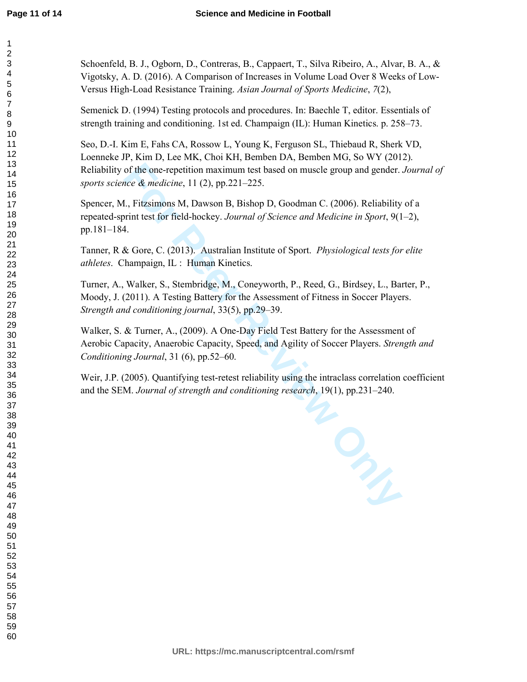Schoenfeld, B. J., Ogborn, D., Contreras, B., Cappaert, T., Silva Ribeiro, A., Alvar, B. A., & Vigotsky, A. D. (2016). A Comparison of Increases in Volume Load Over 8 Weeks of Low-Versus High-Load Resistance Training. *Asian Journal of Sports Medicine*, *7*(2),

Semenick D. (1994) Testing protocols and procedures. In: Baechle T, editor. Essentials of strength training and conditioning. 1st ed. Champaign (IL): Human Kinetics. p. 258–73.

Seo, D.-I. Kim E, Fahs CA, Rossow L, Young K, Ferguson SL, Thiebaud R, Sherk VD, Loenneke JP, Kim D, Lee MK, Choi KH, Bemben DA, Bemben MG, So WY (2012). Reliability of the one-repetition maximum test based on muscle group and gender. *Journal of sports science & medicine*, 11 (2), pp.221–225.

Spencer, M., Fitzsimons M, Dawson B, Bishop D, Goodman C. (2006). Reliability of a repeated-sprint test for field-hockey. *Journal of Science and Medicine in Sport*, 9(1–2), pp.181–184.

Tanner, R & Gore, C. (2013). Australian Institute of Sport. *Physiological tests for elite athletes*. Champaign, IL : Human Kinetics.

Turner, A., Walker, S., Stembridge, M., Coneyworth, P., Reed, G., Birdsey, L., Barter, P., Moody, J. (2011). A Testing Battery for the Assessment of Fitness in Soccer Players. *Strength and conditioning journal*, 33(5), pp.29–39.

Walker, S. & Turner, A., (2009). A One-Day Field Test Battery for the Assessment of Aerobic Capacity, Anaerobic Capacity, Speed, and Agility of Soccer Players. *Strength and Conditioning Journal*, 31 (6), pp.52–60.

Weir, J.P. (2005). Quantifying test-retest reliability using the intraclass correlation coefficient and the SEM. *Journal of strength and conditioning research*, 19(1), pp.231–240.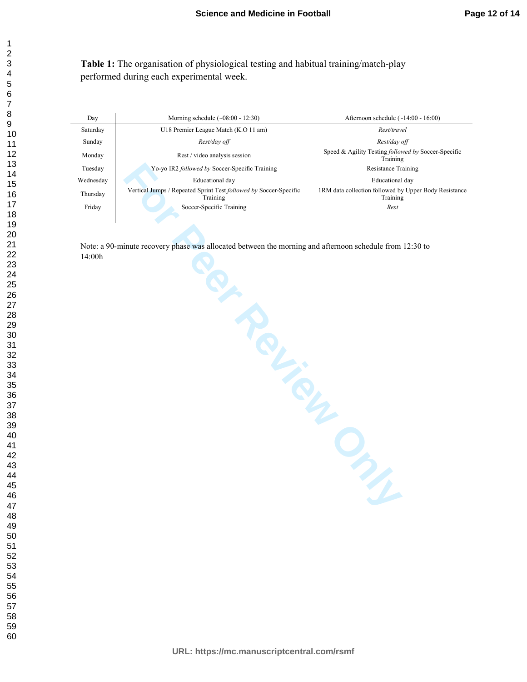**Table 1:** The organisation of physiological testing and habitual training/match-play performed during each experimental week.

| Day       | Morning schedule $(\sim 08:00 - 12:30)$                                       | Afternoon schedule $(\sim 14:00 - 16:00)$                              |  |  |
|-----------|-------------------------------------------------------------------------------|------------------------------------------------------------------------|--|--|
| Saturday  | U18 Premier League Match (K.O 11 am)                                          | Rest/travel                                                            |  |  |
| Sunday    | Rest/day off                                                                  | Rest/day off                                                           |  |  |
| Monday    | Rest / video analysis session                                                 | Speed & Agility Testing <i>followed by</i> Soccer-Specific<br>Training |  |  |
| Tuesday   | Yo-yo IR2 <i>followed by</i> Soccer-Specific Training                         | <b>Resistance Training</b>                                             |  |  |
| Wednesday | Educational day                                                               | Educational day                                                        |  |  |
| Thursday  | Vertical Jumps / Repeated Sprint Test followed by Soccer-Specific<br>Training | 1RM data collection followed by Upper Body Resistance<br>Training      |  |  |
| Friday    | Soccer-Specific Training                                                      | Rest                                                                   |  |  |

Note: a 90-minute recovery phase was allocated between the morning and afternoon schedule from 12:30 to 14:00h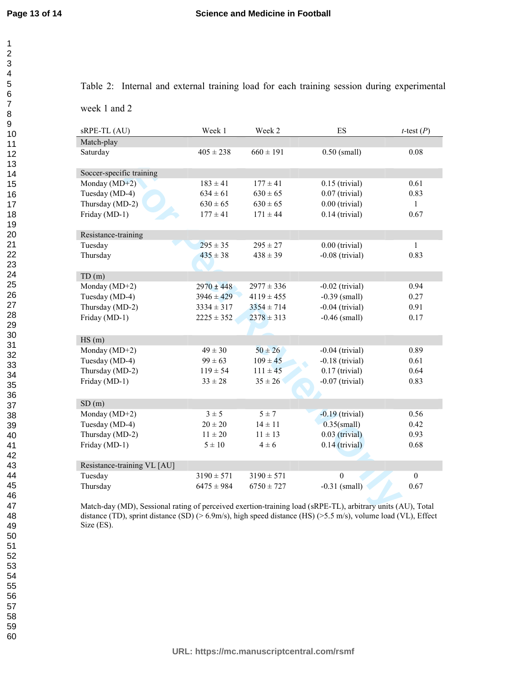Table 2: Internal and external training load for each training session during experimental

week 1 and 2

| sRPE-TL (AU)                                                                                                                           | Week 1         | Week 2         | ES                | <i>t</i> -test $(P)$ |  |  |  |  |
|----------------------------------------------------------------------------------------------------------------------------------------|----------------|----------------|-------------------|----------------------|--|--|--|--|
| Match-play                                                                                                                             |                |                |                   |                      |  |  |  |  |
| Saturday                                                                                                                               | $405 \pm 238$  | $660 \pm 191$  | $0.50$ (small)    | $0.08\,$             |  |  |  |  |
|                                                                                                                                        |                |                |                   |                      |  |  |  |  |
| Soccer-specific training                                                                                                               |                |                |                   |                      |  |  |  |  |
| Monday $(MD+2)$                                                                                                                        | $183 \pm 41$   | $177 \pm 41$   | $0.15$ (trivial)  | 0.61                 |  |  |  |  |
| Tuesday (MD-4)                                                                                                                         | $634 \pm 61$   | $630 \pm 65$   | $0.07$ (trivial)  | 0.83                 |  |  |  |  |
| Thursday (MD-2)                                                                                                                        | $630 \pm 65$   | $630 \pm 65$   | $0.00$ (trivial)  | $\mathbf{1}$         |  |  |  |  |
| Friday (MD-1)                                                                                                                          | $177 \pm 41$   | $171 \pm 44$   | $0.14$ (trivial)  | 0.67                 |  |  |  |  |
|                                                                                                                                        |                |                |                   |                      |  |  |  |  |
| Resistance-training                                                                                                                    |                |                |                   |                      |  |  |  |  |
| Tuesday                                                                                                                                | $295 \pm 35$   | $295 \pm 27$   | $0.00$ (trivial)  | $\mathbf{1}$         |  |  |  |  |
| Thursday                                                                                                                               | $435 \pm 38$   | $438 \pm 39$   | $-0.08$ (trivial) | 0.83                 |  |  |  |  |
|                                                                                                                                        |                |                |                   |                      |  |  |  |  |
| TD(m)                                                                                                                                  |                |                |                   |                      |  |  |  |  |
| Monday (MD+2)                                                                                                                          | $2970 \pm 448$ | $2977 \pm 336$ | $-0.02$ (trivial) | 0.94                 |  |  |  |  |
| Tuesday (MD-4)                                                                                                                         | $3946 \pm 429$ | $4119 \pm 455$ | $-0.39$ (small)   | 0.27                 |  |  |  |  |
| Thursday (MD-2)                                                                                                                        | $3334 \pm 317$ | $3354 \pm 714$ | $-0.04$ (trivial) | 0.91                 |  |  |  |  |
| Friday (MD-1)                                                                                                                          | $2225 \pm 352$ | $2378 \pm 313$ | $-0.46$ (small)   | 0.17                 |  |  |  |  |
|                                                                                                                                        |                |                |                   |                      |  |  |  |  |
| HS(m)                                                                                                                                  |                |                |                   |                      |  |  |  |  |
| Monday (MD+2)                                                                                                                          | $49 \pm 30$    | $50 \pm 26$    | $-0.04$ (trivial) | 0.89                 |  |  |  |  |
| Tuesday (MD-4)                                                                                                                         | $99 \pm 63$    | $109 \pm 45$   | $-0.18$ (trivial) | 0.61                 |  |  |  |  |
| Thursday (MD-2)                                                                                                                        | $119 \pm 54$   | $111 \pm 45$   | $0.17$ (trivial)  | 0.64                 |  |  |  |  |
| Friday (MD-1)                                                                                                                          | $33 \pm 28$    | $35 \pm 26$    | $-0.07$ (trivial) | 0.83                 |  |  |  |  |
|                                                                                                                                        |                |                |                   |                      |  |  |  |  |
| SD(m)                                                                                                                                  |                |                |                   |                      |  |  |  |  |
| Monday ( $MD+2$ )                                                                                                                      | $3 \pm 5$      | $5 \pm 7$      | $-0.19$ (trivial) | 0.56                 |  |  |  |  |
| Tuesday (MD-4)                                                                                                                         | $20 \pm 20$    | $14 \pm 11$    | $0.35$ (small)    | 0.42                 |  |  |  |  |
| Thursday (MD-2)                                                                                                                        | $11\pm20$      | $11 \pm 13$    | $0.03$ (trivial)  | 0.93                 |  |  |  |  |
| Friday (MD-1)                                                                                                                          | $5 \pm 10$     | $4 \pm 6$      | $0.14$ (trivial)  | 0.68                 |  |  |  |  |
|                                                                                                                                        |                |                |                   |                      |  |  |  |  |
| Resistance-training VL [AU]                                                                                                            |                |                |                   |                      |  |  |  |  |
| Tuesday                                                                                                                                | $3190 \pm 571$ | $3190 \pm 571$ | $\mathbf{0}$      | $\boldsymbol{0}$     |  |  |  |  |
| Thursday                                                                                                                               | $6475 \pm 984$ | $6750 \pm 727$ | $-0.31$ (small)   | 0.67                 |  |  |  |  |
|                                                                                                                                        |                |                |                   |                      |  |  |  |  |
| Match-day (MD), Sessional rating of perceived exertion-training load (sRPE-TL), arbitrary units (AU), Total                            |                |                |                   |                      |  |  |  |  |
| $\text{Hence}$ (TD) social distance (CD) (s. COm (s) distance dedications (HC) (s. E. m. (s) sections $1 \times 1$ (MI) $\text{PPC}_2$ |                |                |                   |                      |  |  |  |  |

Match-day (MD), Sessional rating of perceived exertion-training load (sRPE-TL), arbitrary units (AU), Total distance (TD), sprint distance (SD) (> 6.9m/s), high speed distance (HS) (>5.5 m/s), volume load (VL), Effect Size (ES).